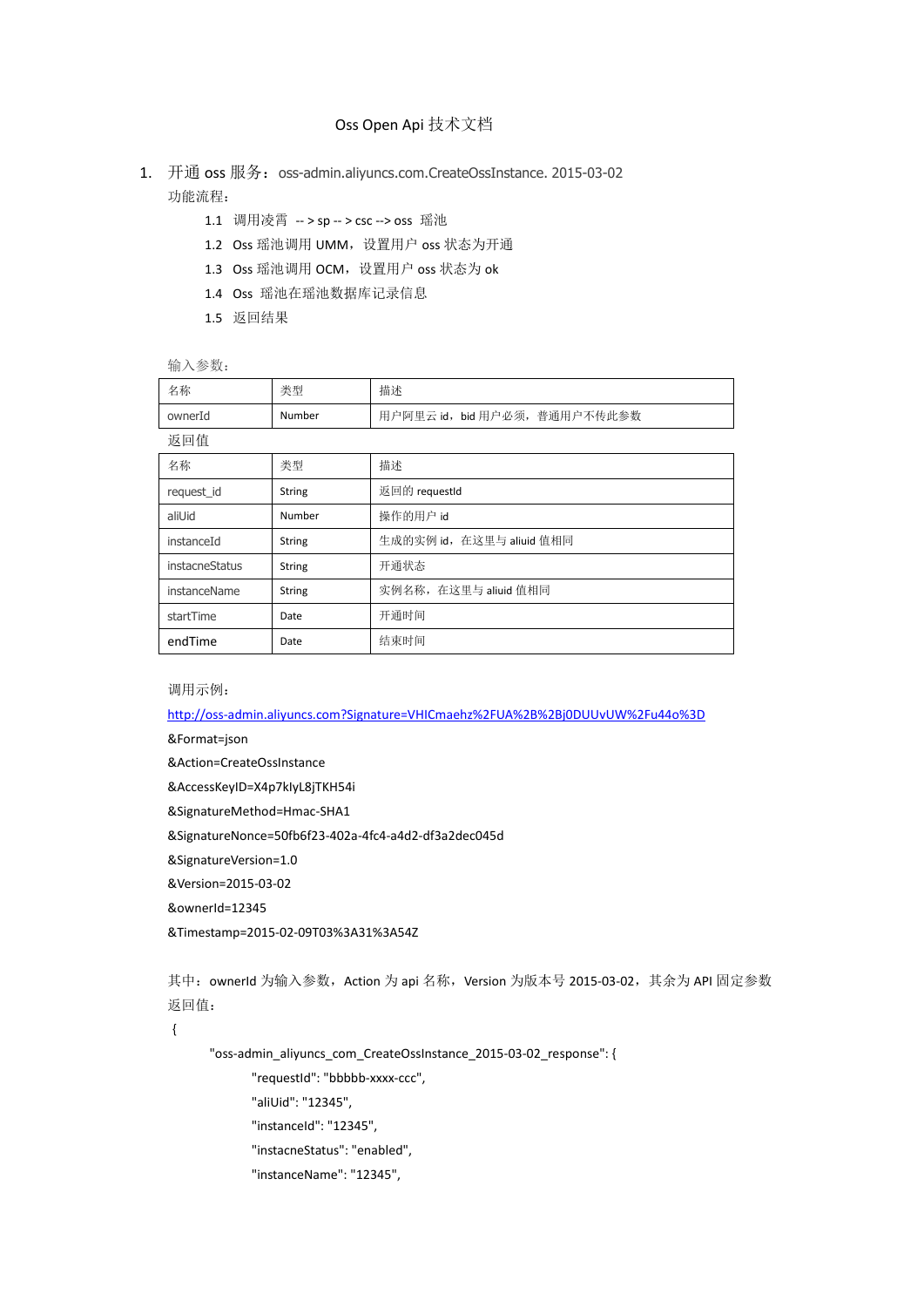## Oss Open Api 技术文档

- 1. 开通 oss 服务: oss-admin.aliyuncs.com.CreateOssInstance. 2015-03-02 功能流程:
	- 1.1 调用凌霄 -- > sp -- > csc --> oss 瑶池
	- 1.2 Oss 瑶池调用 UMM, 设置用户 oss 状态为开通
	- 1.3 Oss 瑶池调用 OCM, 设置用户 oss 状态为 ok
	- 1.4 Oss 瑶池在瑶池数据库记录信息
	- 1.5 返回结果

输入参数:

| 名称             | 类型            | 描述                            |
|----------------|---------------|-------------------------------|
| ownerId        | Number        | 用户阿里云 id, bid 用户必须, 普通用户不传此参数 |
| 返回值            |               |                               |
| 名称             | 类型            | 描述                            |
| request_id     | <b>String</b> | 返回的 requestId                 |
| aliUid         | Number        | 操作的用户 id                      |
| instanceId     | <b>String</b> | 生成的实例 id, 在这里与 aliuid 值相同     |
| instacneStatus | <b>String</b> | 开通状态                          |
| instanceName   | <b>String</b> | 实例名称, 在这里与 aliuid 值相同         |
| startTime      | Date          | 开通时间                          |
| endTime        | Date          | 结束时间                          |

调用示例:

[http://oss-admin.aliyuncs.com?Signature=VHICmaehz%2FUA%2B%2Bj0DUUvUW%2Fu44o%3D](http://oss-admin.aliyuncs.com/?Signature=VHICmaehz%2FUA%2B%2Bj0DUUvUW%2Fu44o%3D)

&Format=json

&Action=CreateOssInstance

&AccessKeyID=X4p7kIyL8jTKH54i

&SignatureMethod=Hmac-SHA1

&SignatureNonce=50fb6f23-402a-4fc4-a4d2-df3a2dec045d

&SignatureVersion=1.0

&Version=2015-03-02

&ownerId=12345

&Timestamp=2015-02-09T03%3A31%3A54Z

其中: ownerId 为输入参数, Action 为 api 名称, Version 为版本号 2015-03-02, 其余为 API 固定参数 返回值:

{

"oss-admin\_aliyuncs\_com\_CreateOssInstance\_2015-03-02\_response": {

"requestId": "bbbbb-xxxx-ccc",

"aliUid": "12345",

"instanceId": "12345",

"instacneStatus": "enabled",

"instanceName": "12345",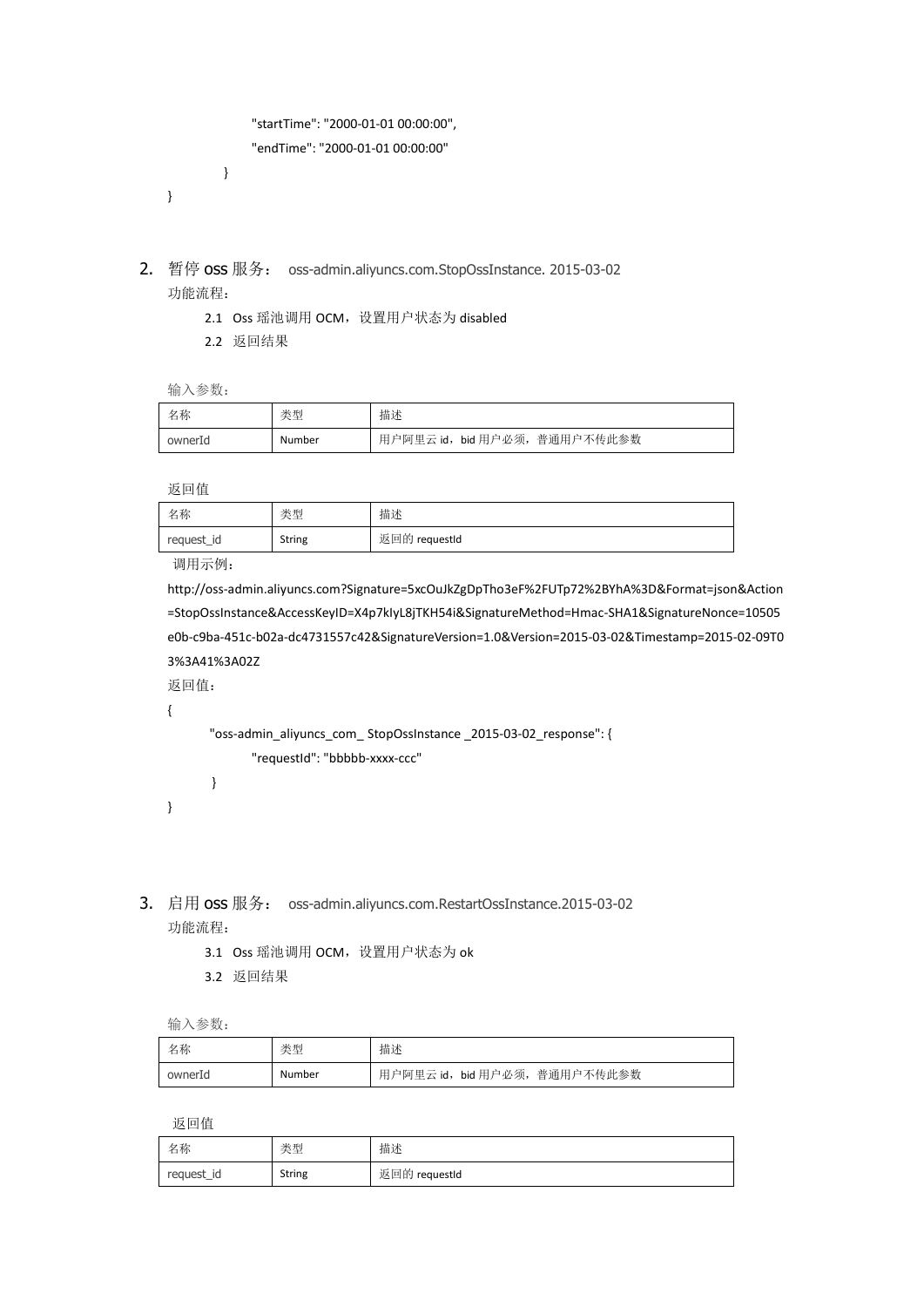```
 "startTime": "2000-01-01 00:00:00",
               "endTime": "2000-01-01 00:00:00"
          }
}
```
- 2. 暂停 oss 服务: oss-admin.aliyuncs.com.StopOssInstance. 2015-03-02 功能流程:
	- 2.1 Oss 瑶池调用 OCM, 设置用户状态为 disabled
	- 2.2 返回结果

输入参数:

| 名称      | 类型     | 描述                            |
|---------|--------|-------------------------------|
| ownerId | Number | 用户阿里云 id, bid 用户必须, 普通用户不传此参数 |

返回值

| 名称         | 类型     | 描述            |
|------------|--------|---------------|
| request_id | String | 返回的 requestId |

调用示例:

http://oss-admin.aliyuncs.com?Signature=5xcOuJkZgDpTho3eF%2FUTp72%2BYhA%3D&Format=json&Action =StopOssInstance&AccessKeyID=X4p7kIyL8jTKH54i&SignatureMethod=Hmac-SHA1&SignatureNonce=10505 e0b-c9ba-451c-b02a-dc4731557c42&SignatureVersion=1.0&Version=2015-03-02&Timestamp=2015-02-09T0 3%3A41%3A02Z

返回值:

{

"oss-admin\_aliyuncs\_com\_ StopOssInstance \_2015-03-02\_response": { "requestId": "bbbbb-xxxx-ccc"

```
}
```
}

- 3. 启用 oss 服务: oss-admin.aliyuncs.com.RestartOssInstance.2015-03-02 功能流程:
	- 3.1 Oss 瑶池调用 OCM, 设置用户状态为 ok
	- 3.2 返回结果

输入参数:

| 名称      | 类型     | 描述                          |
|---------|--------|-----------------------------|
| ownerId | Number | 用户阿里云 id,bid 用户必须,普通用户不传此参数 |

返回值

| 名称         | 类型            | 描述            |
|------------|---------------|---------------|
| request_id | <b>String</b> | 返回的 requestId |